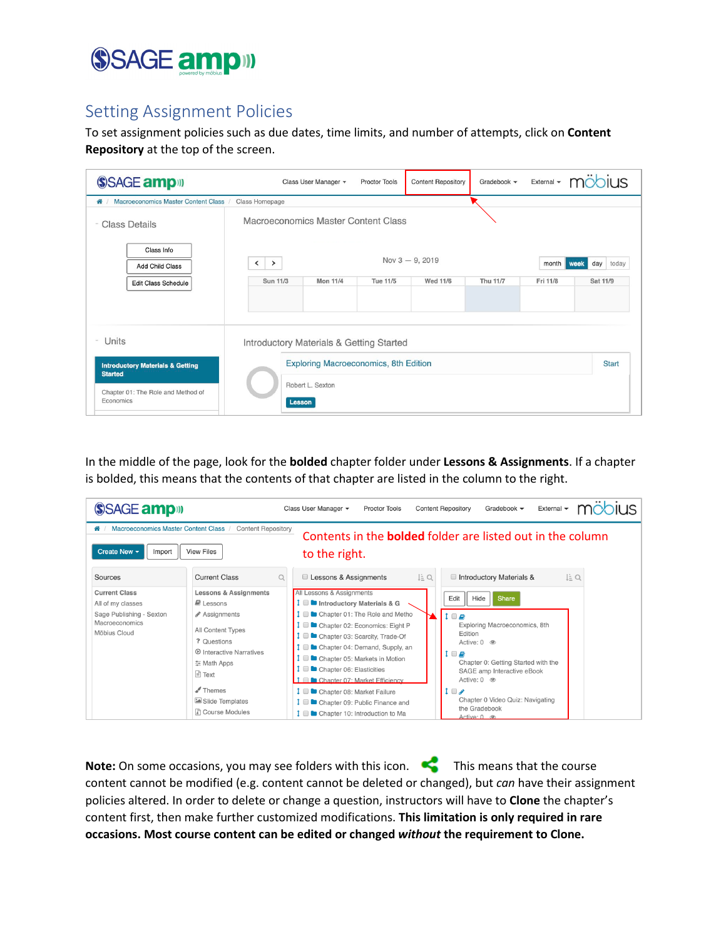

#### Setting Assignment Policies

To set assignment policies such as due dates, time limits, and number of attempts, click on **Content Repository** at the top of the screen.

| SSAGE amp <sup>11</sup>                                           |                                               | Class User Manager + | <b>Proctor Tools</b>                         | <b>Content Repository</b> | Gradebook -     | External $\blacktriangledown$ | $\frac{1}{2}$ iii |
|-------------------------------------------------------------------|-----------------------------------------------|----------------------|----------------------------------------------|---------------------------|-----------------|-------------------------------|-------------------|
| Macroeconomics Master Content Class /<br>备!                       | Class Homepage                                |                      |                                              |                           |                 |                               |                   |
| <b>Class Details</b><br>$\sim$                                    | Macroeconomics Master Content Class           |                      |                                              |                           |                 |                               |                   |
| Class Info<br><b>Add Child Class</b>                              | $\left\langle \right\rangle$<br>$\rightarrow$ |                      |                                              | Nov $3 - 9$ , 2019        |                 | month<br>week                 | day<br>today      |
| <b>Edit Class Schedule</b>                                        | Sun 11/3                                      | <b>Mon 11/4</b>      | <b>Tue 11/5</b>                              | <b>Wed 11/6</b>           | <b>Thu 11/7</b> | Fri 11/8                      | Sat 11/9          |
| Units<br>$\sim$<br><b>Introductory Materials &amp; Getting</b>    | Introductory Materials & Getting Started      |                      | <b>Exploring Macroeconomics, 8th Edition</b> |                           |                 |                               | <b>Start</b>      |
| <b>Started</b><br>Chapter 01: The Role and Method of<br>Economics | Robert L. Sexton<br><b>Lesson</b>             |                      |                                              |                           |                 |                               |                   |

In the middle of the page, look for the **bolded** chapter folder under **Lessons & Assignments**. If a chapter is bolded, this means that the contents of that chapter are listed in the column to the right.

| SSAGE amp <sup>11</sup>                                                                                 |                                                                                                                                                                                                                                                                | Class User Manager +<br><b>Content Repository</b><br>Gradebook $\blacktriangledown$<br>External $\blacktriangledown$<br><b>Proctor Tools</b>                                                                                                                                                                                                                                                                                                                                                                                                                                                                                                                                                                                                                                                                                             |
|---------------------------------------------------------------------------------------------------------|----------------------------------------------------------------------------------------------------------------------------------------------------------------------------------------------------------------------------------------------------------------|------------------------------------------------------------------------------------------------------------------------------------------------------------------------------------------------------------------------------------------------------------------------------------------------------------------------------------------------------------------------------------------------------------------------------------------------------------------------------------------------------------------------------------------------------------------------------------------------------------------------------------------------------------------------------------------------------------------------------------------------------------------------------------------------------------------------------------------|
| Macroeconomics Master Content Class /<br>"<br>Create New +<br>Import<br>Sources                         | <b>Content Repository</b><br><b>View Files</b><br><b>Current Class</b>                                                                                                                                                                                         | Contents in the <b>bolded</b> folder are listed out in the column<br>to the right.                                                                                                                                                                                                                                                                                                                                                                                                                                                                                                                                                                                                                                                                                                                                                       |
| <b>Current Class</b><br>All of my classes<br>Sage Publishing - Sexton<br>Macroeconomics<br>Möbius Cloud | Q<br><b>Lessons &amp; Assignments</b><br>$\blacksquare$ Lessons<br>✔ Assignments<br>All Content Types<br>? Questions<br><b>D</b> Interactive Narratives<br>호 Math Apps<br>⊟ Text<br>$\blacktriangleright$ Themes<br>Slide Templates<br><b>R</b> Course Modules | Lessons & Assignments<br>Ŀα<br>Introductory Materials &<br>Ŀα<br>All Lessons & Assignments<br>Edit<br>Hide<br><b>Share</b><br><b>D</b> Introductory Materials & G<br>Chapter 01: The Role and Metho<br>$1 \Box E$<br>Exploring Macroeconomics, 8th<br>Chapter 02: Economics: Eight P<br>Edition<br>Chapter 03: Scarcity, Trade-Of<br>Active: 0 <sup>o</sup><br>Chapter 04: Demand, Supply, an<br>$\mathbf{1} \ \blacksquare$<br><b>D</b> Chapter 05: Markets in Motion<br>Chapter 0: Getting Started with the<br><b>D</b> Chapter 06: Elasticities<br>SAGE amp Interactive eBook<br>Active: 0 <sup>o</sup><br>Chapter 07: Market Efficiency<br>$1 \Box$<br><b>I</b> ■ Chapter 08: Market Failure<br>Chapter 0 Video Quiz: Navigating<br>Chapter 09: Public Finance and<br>the Gradebook<br>Chapter 10: Introduction to Ma<br>Active: 0 ® |

Note: On some occasions, you may see folders with this icon.  $\blacksquare$  This means that the course content cannot be modified (e.g. content cannot be deleted or changed), but *can* have their assignment policies altered. In order to delete or change a question, instructors will have to **Clone** the chapter's content first, then make further customized modifications. **This limitation is only required in rare occasions. Most course content can be edited or changed** *without* **the requirement to Clone.**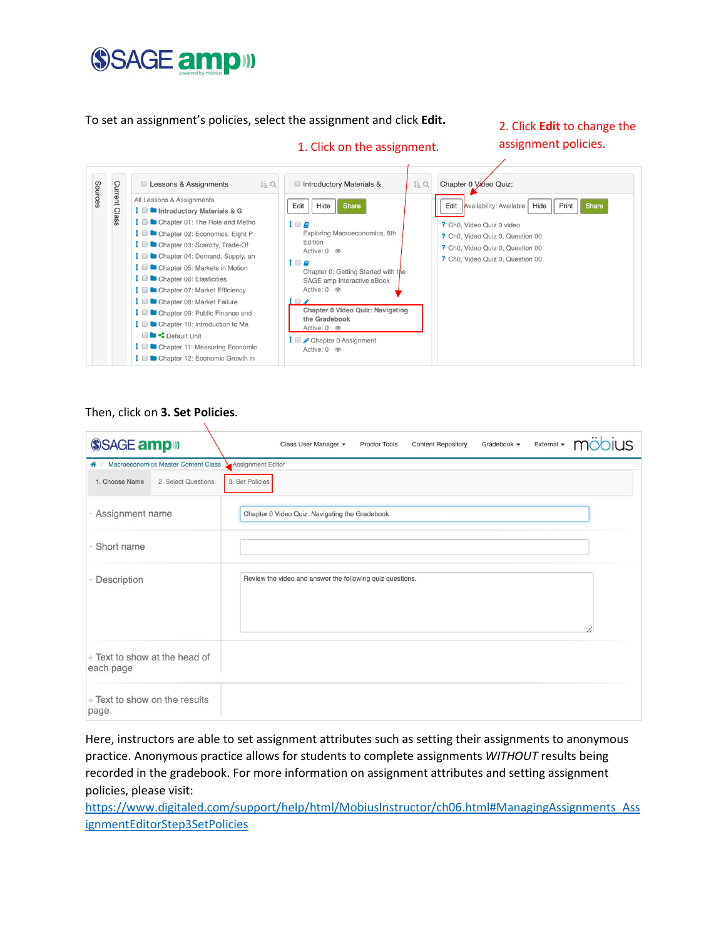### SSAGE ampill

To set an assignment's policies, select the assignment and click **Edit.** 

2. Click **Edit** to change the assignment policies.



1. Click on the assignment.

#### Then, click on **3. Set Policies**.

Ñ

| SSAGE amp <sup>11</sup>                      | möh<br><b>JIUS</b><br><b>Content Repository</b><br>Gradebook -<br>External $\blacktriangledown$<br>Class User Manager +<br><b>Proctor Tools</b> |
|----------------------------------------------|-------------------------------------------------------------------------------------------------------------------------------------------------|
| ← / Macroeconomics Master Content Class      | Assignment Editor                                                                                                                               |
| 2. Select Questions<br>1. Choose Name        | 3. Set Policies                                                                                                                                 |
| Assignment name                              | Chapter 0 Video Quiz: Navigating the Gradebook                                                                                                  |
| Short name                                   |                                                                                                                                                 |
| Description                                  | Review the video and answer the following quiz questions.                                                                                       |
| $+$ Text to show at the head of<br>each page |                                                                                                                                                 |
| + Text to show on the results<br>page        |                                                                                                                                                 |

Here, instructors are able to set assignment attributes such as setting their assignments to anonymous practice. Anonymous practice allows for students to complete assignments *WITHOUT* results being recorded in the gradebook. For more information on assignment attributes and setting assignment policies, please visit:

[https://www.digitaled.com/support/help/html/MobiusInstructor/ch06.html#ManagingAssignments\\_Ass](https://www.digitaled.com/support/help/html/MobiusInstructor/ch06.html#ManagingAssignments_AssignmentEditorStep3SetPolicies) [ignmentEditorStep3SetPolicies](https://www.digitaled.com/support/help/html/MobiusInstructor/ch06.html#ManagingAssignments_AssignmentEditorStep3SetPolicies)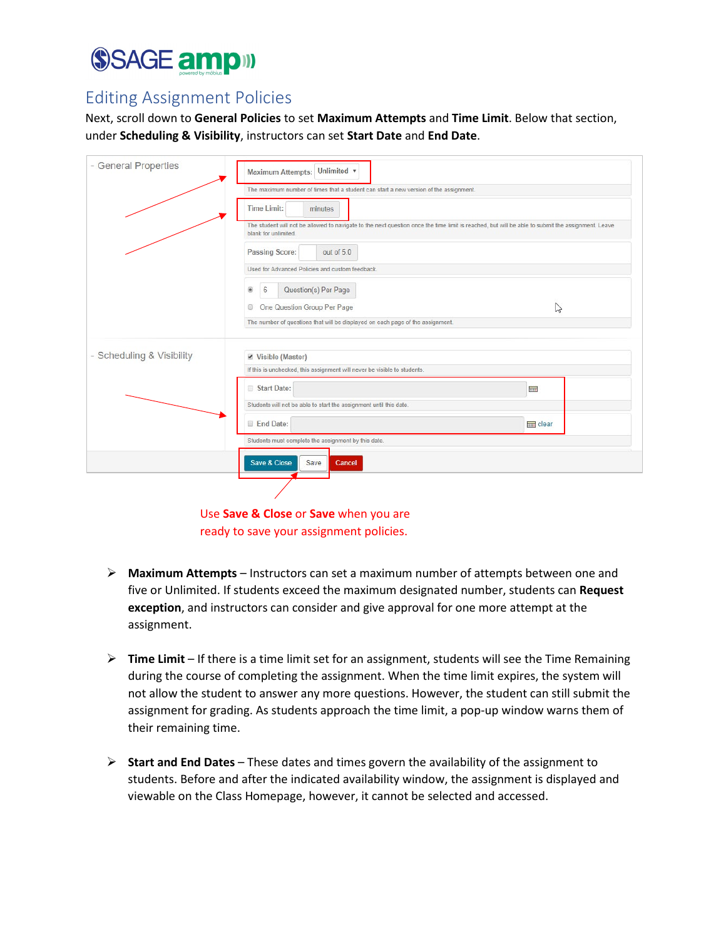# SSAGE ampill

### Editing Assignment Policies

Next, scroll down to **General Policies** to set **Maximum Attempts** and **Time Limit**. Below that section, under **Scheduling & Visibility**, instructors can set **Start Date** and **End Date**.

| - General Properties                                | Unlimited v<br><b>Maximum Attempts:</b>                                               |                                                                                                                                                   |  |  |  |  |  |
|-----------------------------------------------------|---------------------------------------------------------------------------------------|---------------------------------------------------------------------------------------------------------------------------------------------------|--|--|--|--|--|
|                                                     | The maximum number of times that a student can start a new version of the assignment. |                                                                                                                                                   |  |  |  |  |  |
|                                                     | <b>Time Limit:</b><br>minutes                                                         |                                                                                                                                                   |  |  |  |  |  |
|                                                     | blank for unlimited.                                                                  | The student will not be allowed to navigate to the next question once the time limit is reached, but will be able to submit the assignment. Leave |  |  |  |  |  |
|                                                     | Passing Score:<br>out of 5.0                                                          |                                                                                                                                                   |  |  |  |  |  |
|                                                     | Used for Advanced Policies and custom feedback.                                       |                                                                                                                                                   |  |  |  |  |  |
|                                                     | Question(s) Per Page<br>6<br>$\circledcirc$                                           |                                                                                                                                                   |  |  |  |  |  |
|                                                     | One Question Group Per Page<br>⊚                                                      | B                                                                                                                                                 |  |  |  |  |  |
|                                                     | The number of questions that will be displayed on each page of the assignment.        |                                                                                                                                                   |  |  |  |  |  |
|                                                     | ■ Visible (Master)                                                                    |                                                                                                                                                   |  |  |  |  |  |
| - Scheduling & Visibility                           |                                                                                       |                                                                                                                                                   |  |  |  |  |  |
|                                                     | If this is unchecked, this assignment will never be visible to students.              |                                                                                                                                                   |  |  |  |  |  |
|                                                     | Start Date:                                                                           | <b>THE</b>                                                                                                                                        |  |  |  |  |  |
|                                                     | Students will not be able to start the assignment until this date.                    |                                                                                                                                                   |  |  |  |  |  |
|                                                     | End Date:<br>mm clear                                                                 |                                                                                                                                                   |  |  |  |  |  |
| Students must complete the assignment by this date. |                                                                                       |                                                                                                                                                   |  |  |  |  |  |
|                                                     | Save & Close<br>Save<br>Cancel                                                        |                                                                                                                                                   |  |  |  |  |  |
|                                                     |                                                                                       |                                                                                                                                                   |  |  |  |  |  |

Use **Save & Close** or **Save** when you are ready to save your assignment policies.

- **Maximum Attempts** Instructors can set a maximum number of attempts between one and five or Unlimited. If students exceed the maximum designated number, students can **Request exception**, and instructors can consider and give approval for one more attempt at the assignment.
- **Time Limit** If there is a time limit set for an assignment, students will see the Time Remaining during the course of completing the assignment. When the time limit expires, the system will not allow the student to answer any more questions. However, the student can still submit the assignment for grading. As students approach the time limit, a pop-up window warns them of their remaining time.
- **Start and End Dates** These dates and times govern the availability of the assignment to students. Before and after the indicated availability window, the assignment is displayed and viewable on the Class Homepage, however, it cannot be selected and accessed.